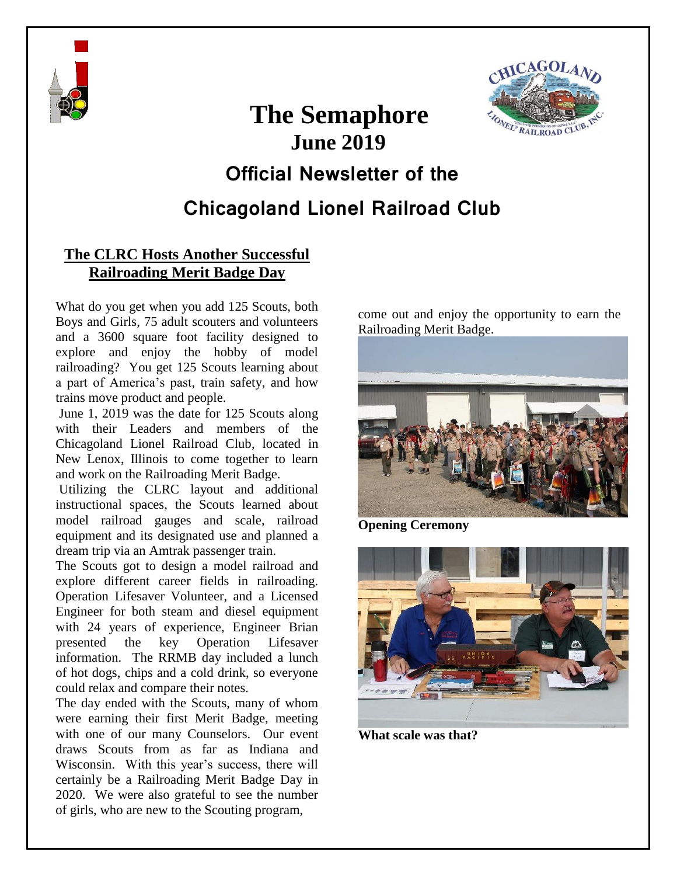



# **The Semaphore June 2019**

## **Official Newsletter of the**

### **Chicagoland Lionel Railroad Club**

#### **The CLRC Hosts Another Successful Railroading Merit Badge Day**

What do you get when you add 125 Scouts, both Boys and Girls, 75 adult scouters and volunteers and a 3600 square foot facility designed to explore and enjoy the hobby of model railroading? You get 125 Scouts learning about a part of America's past, train safety, and how trains move product and people.

June 1, 2019 was the date for 125 Scouts along with their Leaders and members of the Chicagoland Lionel Railroad Club, located in New Lenox, Illinois to come together to learn and work on the Railroading Merit Badge.

Utilizing the CLRC layout and additional instructional spaces, the Scouts learned about model railroad gauges and scale, railroad equipment and its designated use and planned a dream trip via an Amtrak passenger train.

The Scouts got to design a model railroad and explore different career fields in railroading. Operation Lifesaver Volunteer, and a Licensed Engineer for both steam and diesel equipment with 24 years of experience, Engineer Brian presented the key Operation Lifesaver information. The RRMB day included a lunch of hot dogs, chips and a cold drink, so everyone could relax and compare their notes.

The day ended with the Scouts, many of whom were earning their first Merit Badge, meeting with one of our many Counselors. Our event draws Scouts from as far as Indiana and Wisconsin. With this year's success, there will certainly be a Railroading Merit Badge Day in 2020. We were also grateful to see the number of girls, who are new to the Scouting program,

come out and enjoy the opportunity to earn the Railroading Merit Badge.



**Opening Ceremony**



**What scale was that?**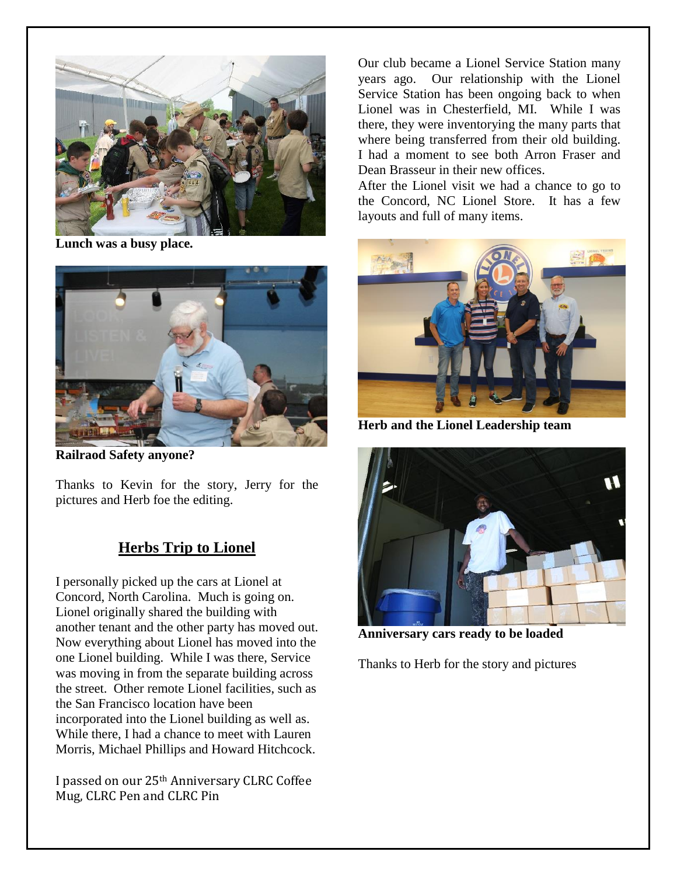

**Lunch was a busy place.**



**Railraod Safety anyone?**

Thanks to Kevin for the story, Jerry for the pictures and Herb foe the editing.

#### **Herbs Trip to Lionel**

I personally picked up the cars at Lionel at Concord, North Carolina. Much is going on. Lionel originally shared the building with another tenant and the other party has moved out. Now everything about Lionel has moved into the one Lionel building. While I was there, Service was moving in from the separate building across the street. Other remote Lionel facilities, such as the San Francisco location have been incorporated into the Lionel building as well as. While there, I had a chance to meet with Lauren Morris, Michael Phillips and Howard Hitchcock.

I passed on our 25th Anniversary CLRC Coffee Mug, CLRC Pen and CLRC Pin

Our club became a Lionel Service Station many years ago. Our relationship with the Lionel Service Station has been ongoing back to when Lionel was in Chesterfield, MI. While I was there, they were inventorying the many parts that where being transferred from their old building. I had a moment to see both Arron Fraser and Dean Brasseur in their new offices.

After the Lionel visit we had a chance to go to the Concord, NC Lionel Store. It has a few layouts and full of many items.



**Herb and the Lionel Leadership team**



**Anniversary cars ready to be loaded**

Thanks to Herb for the story and pictures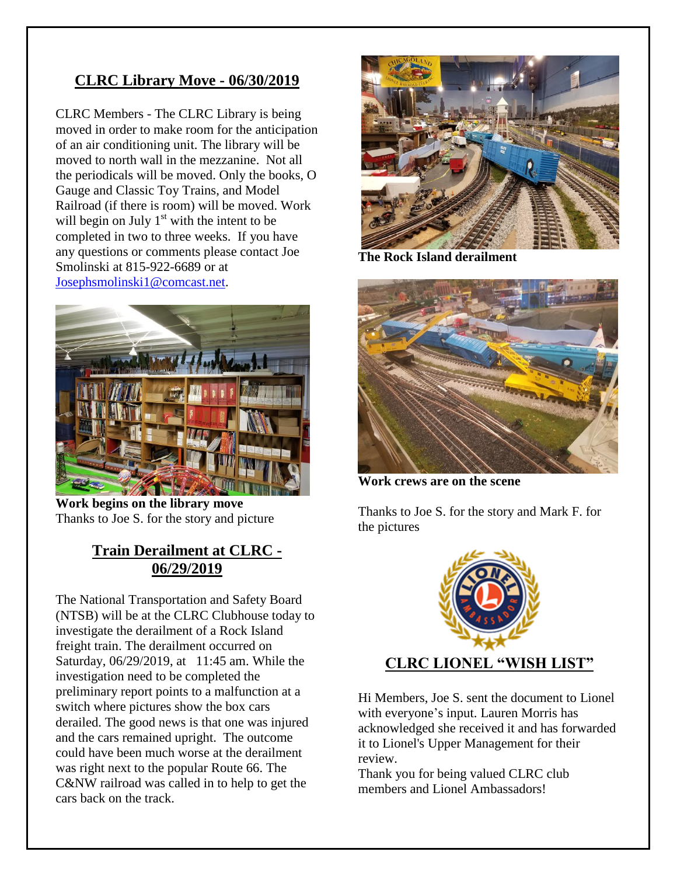#### **CLRC Library Move - 06/30/2019**

CLRC Members - The CLRC Library is being moved in order to make room for the anticipation of an air conditioning unit. The library will be moved to north wall in the mezzanine. Not all the periodicals will be moved. Only the books, O Gauge and Classic Toy Trains, and Model Railroad (if there is room) will be moved. Work will begin on July  $1<sup>st</sup>$  with the intent to be completed in two to three weeks. If you have any questions or comments please contact Joe Smolinski at 815-922-6689 or at [Josephsmolinski1@comcast.net.](mailto:Josephsmolinski1@comcast.net)



**Work begins on the library move** Thanks to Joe S. for the story and picture

#### **Train Derailment at CLRC - 06/29/2019**

The National Transportation and Safety Board (NTSB) will be at the CLRC Clubhouse today to investigate the derailment of a Rock Island freight train. The derailment occurred on Saturday, 06/29/2019, at 11:45 am. While the investigation need to be completed the preliminary report points to a malfunction at a switch where pictures show the box cars derailed. The good news is that one was injured and the cars remained upright. The outcome could have been much worse at the derailment was right next to the popular Route 66. The C&NW railroad was called in to help to get the cars back on the track.



**The Rock Island derailment**



**Work crews are on the scene**

Thanks to Joe S. for the story and Mark F. for the pictures



Hi Members, Joe S. sent the document to Lionel with everyone's input. Lauren Morris has acknowledged she received it and has forwarded it to Lionel's Upper Management for their review.

Thank you for being valued CLRC club members and Lionel Ambassadors!